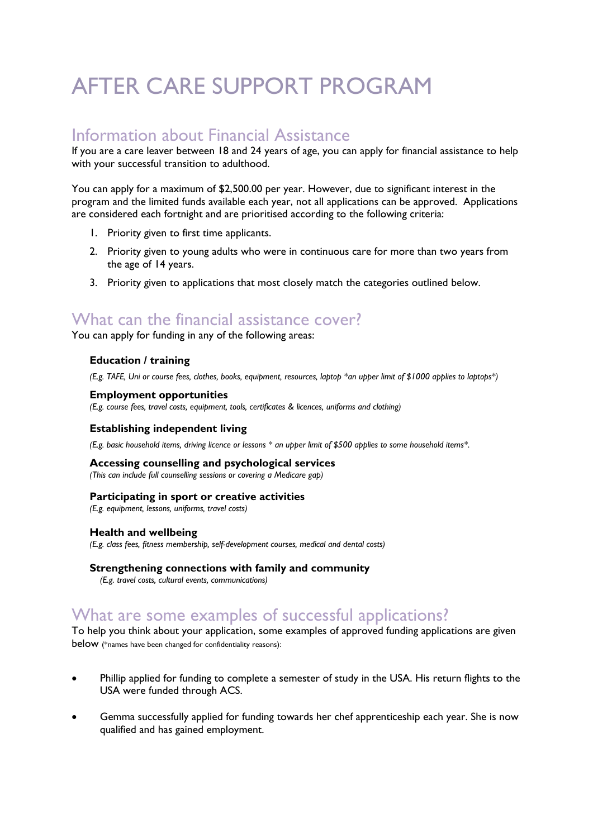# AFTER CARE SUPPORT PROGRAM

## Information about Financial Assistance

If you are a care leaver between 18 and 24 years of age, you can apply for financial assistance to help with your successful transition to adulthood.

You can apply for a maximum of \$2,500.00 per year. However, due to significant interest in the program and the limited funds available each year, not all applications can be approved. Applications are considered each fortnight and are prioritised according to the following criteria:

- 1. Priority given to first time applicants.
- 2. Priority given to young adults who were in continuous care for more than two years from the age of 14 years.
- 3. Priority given to applications that most closely match the categories outlined below.

## What can the financial assistance cover?

You can apply for funding in any of the following areas:

### **Education / training**

*(E.g. TAFE, Uni or course fees, clothes, books, equipment, resources, laptop \*an upper limit of \$1000 applies to laptops\*)*

### **Employment opportunities**

*(E.g. course fees, travel costs, equipment, tools, certificates & licences, uniforms and clothing)*

### **Establishing independent living**

*(E.g. basic household items, driving licence or lessons \* an upper limit of \$500 applies to some household items\*.* 

### **Accessing counselling and psychological services**

*(This can include full counselling sessions or covering a Medicare gap)*

### **Participating in sport or creative activities**

*(E.g. equipment, lessons, uniforms, travel costs)*

### **Health and wellbeing**

*(E.g. class fees, fitness membership, self-development courses, medical and dental costs)*

#### **Strengthening connections with family and community**

*(E.g. travel costs, cultural events, communications)*

## What are some examples of successful applications?

To help you think about your application, some examples of approved funding applications are given below (\*names have been changed for confidentiality reasons):

- Phillip applied for funding to complete a semester of study in the USA. His return flights to the USA were funded through ACS.
- Gemma successfully applied for funding towards her chef apprenticeship each year. She is now qualified and has gained employment.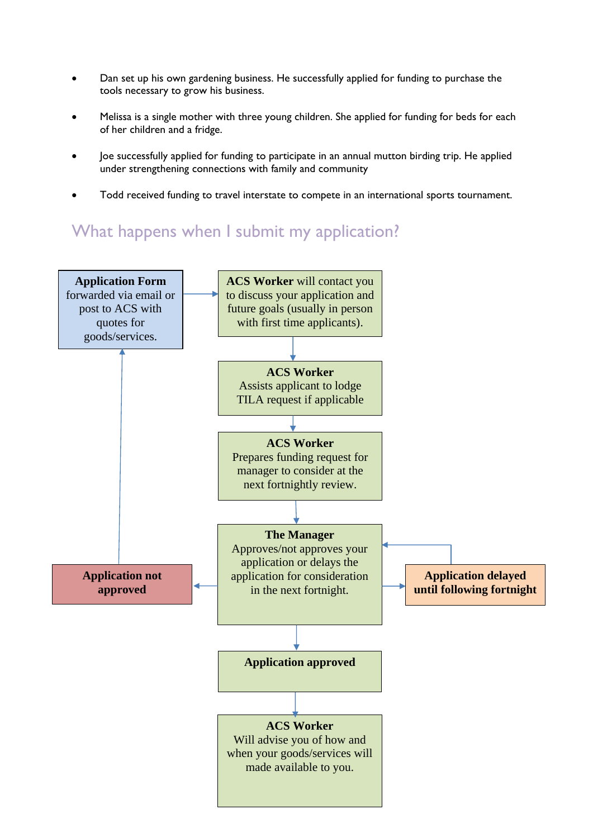- Dan set up his own gardening business. He successfully applied for funding to purchase the tools necessary to grow his business.
- Melissa is a single mother with three young children. She applied for funding for beds for each of her children and a fridge.
- Joe successfully applied for funding to participate in an annual mutton birding trip. He applied under strengthening connections with family and community
- Todd received funding to travel interstate to compete in an international sports tournament.

## What happens when I submit my application?

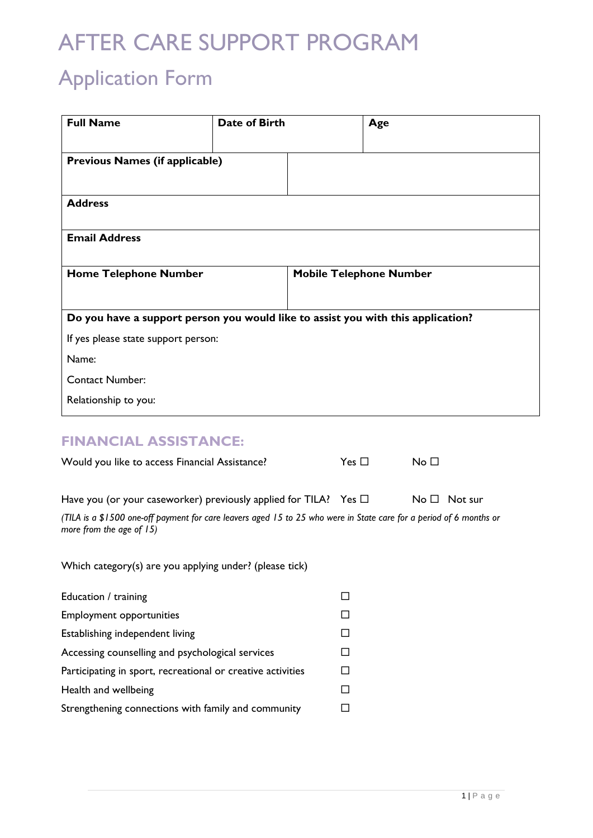# AFTER CARE SUPPORT PROGRAM

# Application Form

| <b>Full Name</b>                                                                                                                                   | Date of Birth |        | Age        |                                |  |
|----------------------------------------------------------------------------------------------------------------------------------------------------|---------------|--------|------------|--------------------------------|--|
| <b>Previous Names (if applicable)</b>                                                                                                              |               |        |            |                                |  |
|                                                                                                                                                    |               |        |            |                                |  |
| <b>Address</b>                                                                                                                                     |               |        |            |                                |  |
| <b>Email Address</b>                                                                                                                               |               |        |            |                                |  |
| <b>Home Telephone Number</b>                                                                                                                       |               |        |            | <b>Mobile Telephone Number</b> |  |
| Do you have a support person you would like to assist you with this application?                                                                   |               |        |            |                                |  |
| If yes please state support person:                                                                                                                |               |        |            |                                |  |
| Name:                                                                                                                                              |               |        |            |                                |  |
| <b>Contact Number:</b>                                                                                                                             |               |        |            |                                |  |
| Relationship to you:                                                                                                                               |               |        |            |                                |  |
|                                                                                                                                                    |               |        |            |                                |  |
| <b>FINANCIAL ASSISTANCE:</b>                                                                                                                       |               |        |            |                                |  |
| Would you like to access Financial Assistance?                                                                                                     |               |        | $Yes \Box$ | No <sub>1</sub>                |  |
| Have you (or your caseworker) previously applied for TILA? Yes $\Box$                                                                              |               |        |            | $No \Box$ Not sur              |  |
| (TILA is a \$1500 one-off payment for care leavers aged 15 to 25 who were in State care for a period of 6 months or<br>more from the age of $15$ ) |               |        |            |                                |  |
| Which category(s) are you applying under? (please tick)                                                                                            |               |        |            |                                |  |
| Education / training                                                                                                                               |               | □      |            |                                |  |
| <b>Employment opportunities</b>                                                                                                                    |               |        | п          |                                |  |
| Establishing independent living                                                                                                                    |               |        | ΙI         |                                |  |
| Accessing counselling and psychological services                                                                                                   |               |        | □          |                                |  |
| Participating in sport, recreational or creative activities                                                                                        |               | □      |            |                                |  |
| Health and wellbeing                                                                                                                               |               | $\Box$ |            |                                |  |
| Strengthening connections with family and community                                                                                                |               | □      |            |                                |  |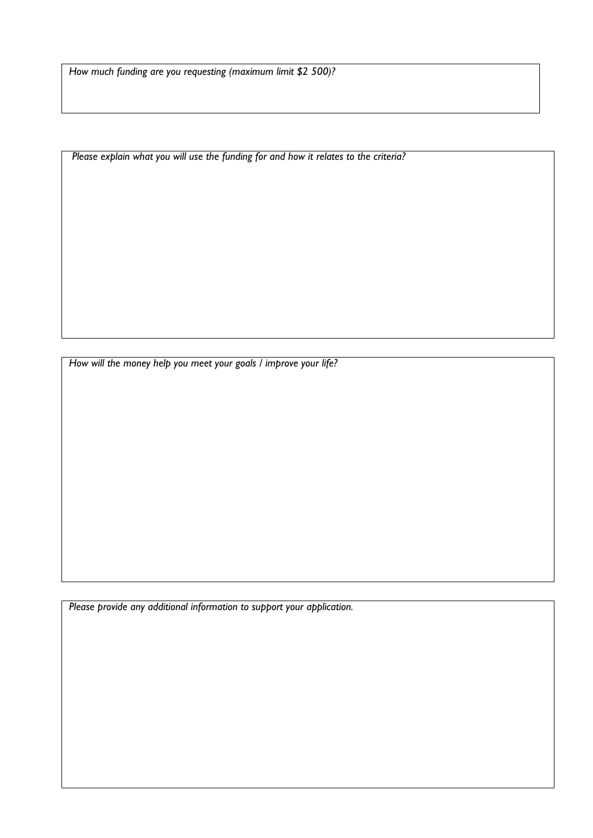*How much funding are you requesting (maximum limit \$2 500)?* 

 *Please explain what you will use the funding for and how it relates to the criteria?* 

 *How will the money help you meet your goals / improve your life?* 

 *Please provide any additional information to support your application.*